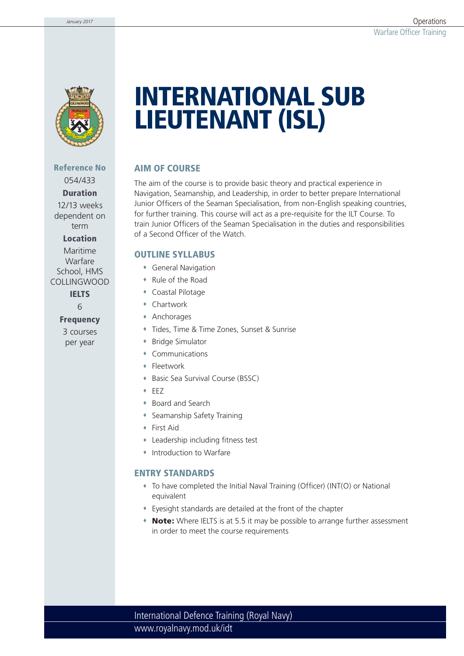

#### **Reference No** 054/433

**Duration** 12/13 weeks

dependent on term

**Location**

Maritime Warfare School, HMS COLLINGWOOD

**IELTS**

6

**Frequency** 3 courses per year

# **INTERNATIONAL SUB LIEUTENANT (ISL)**

# **AIM OF COURSE**

The aim of the course is to provide basic theory and practical experience in Navigation, Seamanship, and Leadership, in order to better prepare International Junior Officers of the Seaman Specialisation, from non-English speaking countries, for further training. This course will act as a pre-requisite for the ILT Course. To train Junior Officers of the Seaman Specialisation in the duties and responsibilities of a Second Officer of the Watch.

### **OUTLINE SYLLABUS**

- General Navigation
- Rule of the Road
- Coastal Pilotage
- Chartwork
- Anchorages
- Tides, Time & Time Zones, Sunset & Sunrise
- Bridge Simulator
- Communications
- **+** Fleetwork
- Basic Sea Survival Course (BSSC)
- EEZ
- Board and Search
- Seamanship Safety Training
- First Aid
- Leadership including fitness test
- Introduction to Warfare

# **ENTRY STANDARDS**

- To have completed the Initial Naval Training (Officer) (INT(O) or National equivalent
- Eyesight standards are detailed at the front of the chapter
- **Note:** Where IELTS is at 5.5 it may be possible to arrange further assessment in order to meet the course requirements